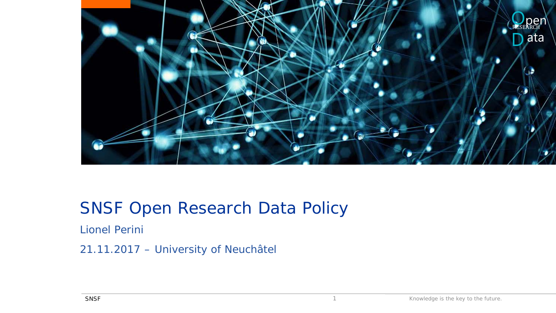

### SNSF Open Research Data Policy

Lionel Perini

21.11.2017 – University of Neuchâtel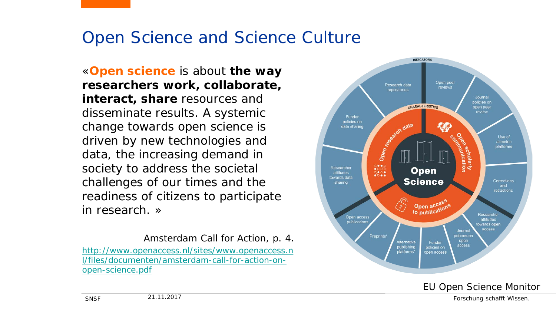### Open Science and Science Culture

«**Open science** is about **the way researchers work, collaborate, interact, share** resources and disseminate results. A systemic change towards open science is driven by new technologies and data, the increasing demand in society to address the societal challenges of our times and the readiness of citizens to participate in research. »

Amsterdam Call for Action, p. 4. http://www.openaccess.nl/sites/www.openaccess.n [l/files/documenten/amsterdam-call-for-action-on](http://www.openaccess.nl/sites/www.openaccess.nl/files/documenten/amsterdam-call-for-action-on-open-science.pdf)open-science.pdf



21.11.2017 Forschung schafft Wissen.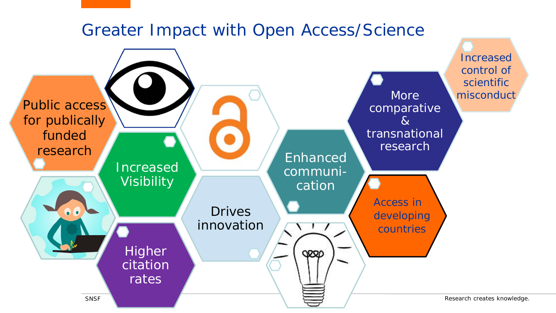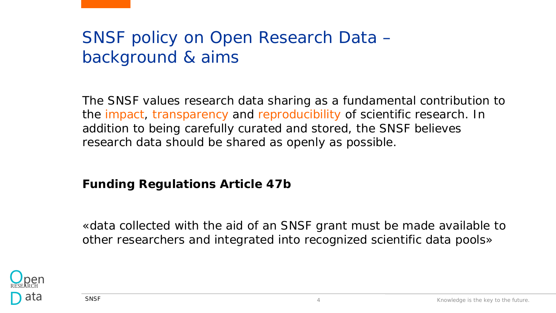# SNSF policy on Open Research Data – background & aims

The SNSF values research data sharing as a fundamental contribution to the impact, transparency and reproducibility of scientific research. In addition to being carefully curated and stored, the SNSF believes research data should be shared as openly as possible.

### **Funding Regulations Article 47b**

«data collected with the aid of an SNSF grant must be made available to other researchers and integrated into recognized scientific data pools»

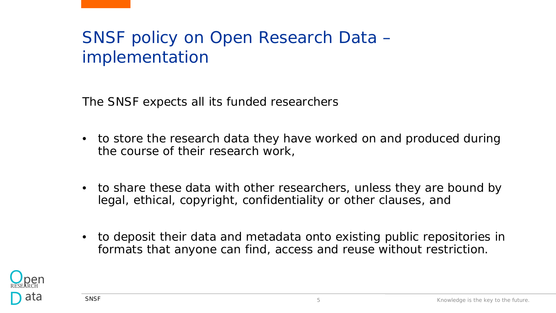# SNSF policy on Open Research Data – implementation

The SNSF expects all its funded researchers

- to store the research data they have worked on and produced during the course of their research work,
- to share these data with other researchers, unless they are bound by legal, ethical, copyright, confidentiality or other clauses, and
- to deposit their data and metadata onto existing public repositories in formats that anyone can find, access and reuse without restriction.

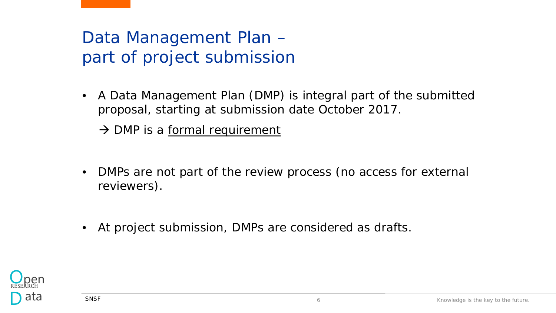# Data Management Plan – part of project submission

• A Data Management Plan (DMP) is integral part of the submitted proposal, starting at submission date October 2017.

 $\rightarrow$  DMP is a formal requirement

- DMPs are not part of the review process (no access for external reviewers).
- At project submission, DMPs are considered as drafts.

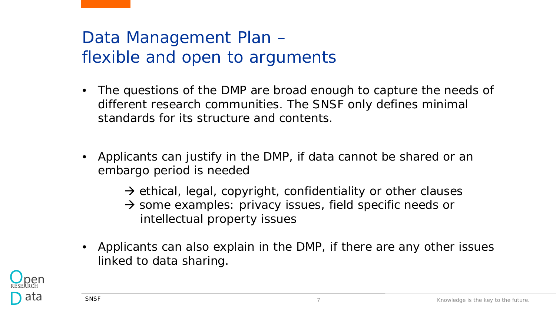# Data Management Plan – flexible and open to arguments

- The questions of the DMP are broad enough to capture the needs of different research communities. The SNSF only defines minimal standards for its structure and contents.
- Applicants can justify in the DMP, if data cannot be shared or an embargo period is needed
	- $\rightarrow$  ethical, legal, copyright, confidentiality or other clauses
	- $\rightarrow$  some examples: privacy issues, field specific needs or intellectual property issues
- Applicants can also explain in the DMP, if there are any other issues linked to data sharing.

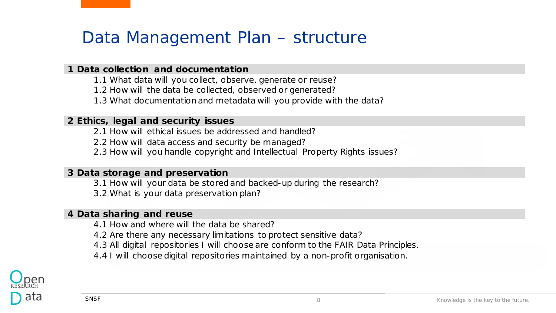### Data Management Plan – structure

#### **1 Data collection and documentation**

- 1.1 What data will you collect, observe, generate or reuse?
- 1.2 How will the data be collected, observed or generated?
- 1.3 What documentation and metadata will you provide with the data?

#### **2 Ethics, legal and security issues**

- 2.1 How will ethical issues be addressed and handled?
- 2.2 How will data access and security be managed?
- 2.3 How will you handle copyright and Intellectual Property Rights issues?

#### **3 Data storage and preservation**

- 3.1 How will your data be stored and backed-up during the research?
- 3.2 What is your data preservation plan?

#### **4 Data sharing and reuse**

- 4.1 How and where will the data be shared?
- 4.2 Are there any necessary limitations to protect sensitive data?
- 4.3 All digital repositories I will choose are conform to the FAIR Data Principles.
- 4.4 I will choose digital repositories maintained by a non-profit organisation.

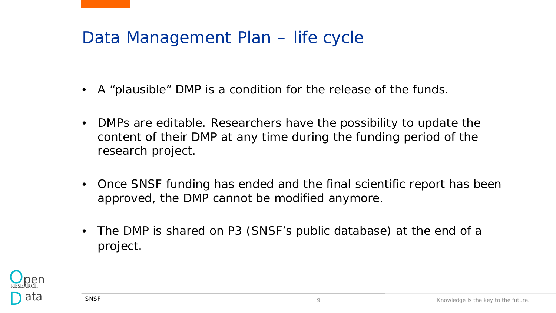## Data Management Plan – life cycle

- A "plausible" DMP is a condition for the release of the funds.
- DMPs are editable. Researchers have the possibility to update the content of their DMP at any time during the funding period of the research project.
- Once SNSF funding has ended and the final scientific report has been approved, the DMP cannot be modified anymore.
- The DMP is shared on P3 (SNSF's public database) at the end of a project.

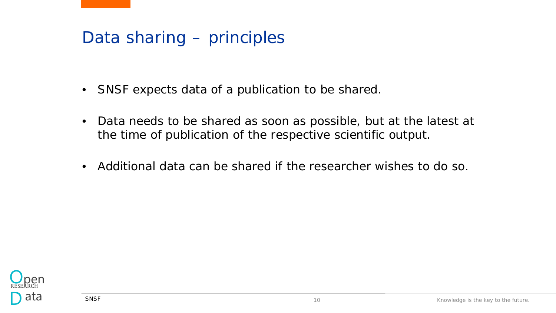### Data sharing – principles

- SNSF expects data of a publication to be shared.
- Data needs to be shared as soon as possible, but at the latest at the time of publication of the respective scientific output.
- Additional data can be shared if the researcher wishes to do so.

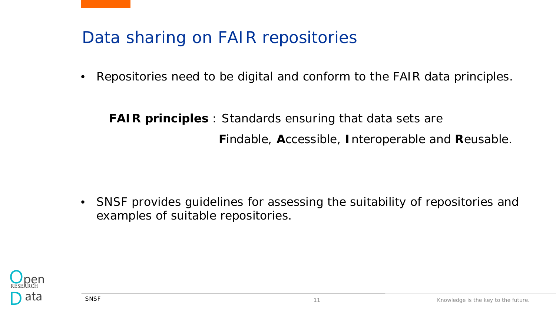## Data sharing on FAIR repositories

• Repositories need to be digital and conform to the FAIR data principles.

**FAIR principles** : Standards ensuring that data sets are **F**indable, **A**ccessible, **I**nteroperable and **R**eusable.

• SNSF provides guidelines for assessing the suitability of repositories and examples of suitable repositories.

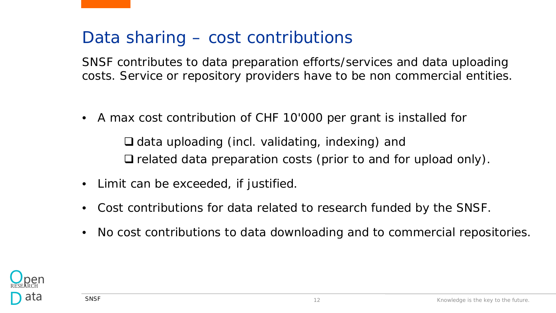### Data sharing – cost contributions

SNSF contributes to data preparation efforts/services and data uploading costs. Service or repository providers have to be non commercial entities.

• A max cost contribution of CHF 10'000 per grant is installed for

 $\Box$  data uploading (incl. validating, indexing) and  $\Box$  related data preparation costs (prior to and for upload only).

- Limit can be exceeded, if justified.
- Cost contributions for data related to research funded by the SNSF.
- No cost contributions to data downloading and to commercial repositories.

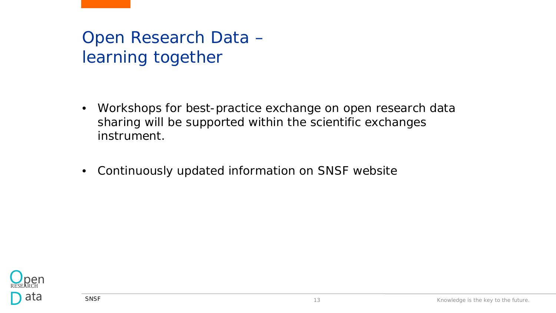# Open Research Data – learning together

- Workshops for best-practice exchange on open research data sharing will be supported within the scientific exchanges instrument.
- Continuously updated information on SNSF website